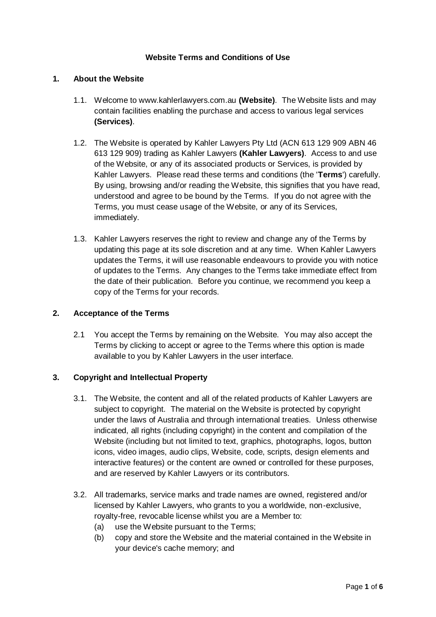## **Website Terms and Conditions of Use**

#### **1. About the Website**

- 1.1. Welcome to www.kahlerlawyers.com.au **(Website)**. The Website lists and may contain facilities enabling the purchase and access to various legal services **(Services)**.
- 1.2. The Website is operated by Kahler Lawyers Pty Ltd (ACN 613 129 909 ABN 46 613 129 909) trading as Kahler Lawyers **(Kahler Lawyers)**. Access to and use of the Website, or any of its associated products or Services, is provided by Kahler Lawyers. Please read these terms and conditions (the '**Terms**') carefully. By using, browsing and/or reading the Website, this signifies that you have read, understood and agree to be bound by the Terms. If you do not agree with the Terms, you must cease usage of the Website, or any of its Services, immediately.
- 1.3. Kahler Lawyers reserves the right to review and change any of the Terms by updating this page at its sole discretion and at any time. When Kahler Lawyers updates the Terms, it will use reasonable endeavours to provide you with notice of updates to the Terms. Any changes to the Terms take immediate effect from the date of their publication. Before you continue, we recommend you keep a copy of the Terms for your records.

#### **2. Acceptance of the Terms**

2.1 You accept the Terms by remaining on the Website. You may also accept the Terms by clicking to accept or agree to the Terms where this option is made available to you by Kahler Lawyers in the user interface.

#### **3. Copyright and Intellectual Property**

- 3.1. The Website, the content and all of the related products of Kahler Lawyers are subject to copyright. The material on the Website is protected by copyright under the laws of Australia and through international treaties. Unless otherwise indicated, all rights (including copyright) in the content and compilation of the Website (including but not limited to text, graphics, photographs, logos, button icons, video images, audio clips, Website, code, scripts, design elements and interactive features) or the content are owned or controlled for these purposes, and are reserved by Kahler Lawyers or its contributors.
- 3.2. All trademarks, service marks and trade names are owned, registered and/or licensed by Kahler Lawyers, who grants to you a worldwide, non-exclusive, royalty-free, revocable license whilst you are a Member to:
	- (a) use the Website pursuant to the Terms;
	- (b) copy and store the Website and the material contained in the Website in your device's cache memory; and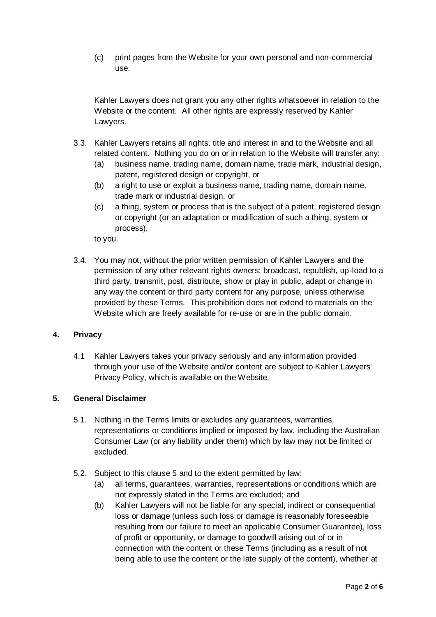(c) print pages from the Website for your own personal and non-commercial use.

Kahler Lawyers does not grant you any other rights whatsoever in relation to the Website or the content. All other rights are expressly reserved by Kahler Lawyers.

- 3.3. Kahler Lawyers retains all rights, title and interest in and to the Website and all related content. Nothing you do on or in relation to the Website will transfer any:
	- (a) business name, trading name, domain name, trade mark, industrial design, patent, registered design or copyright, or
	- (b) a right to use or exploit a business name, trading name, domain name, trade mark or industrial design, or
	- (c) a thing, system or process that is the subject of a patent, registered design or copyright (or an adaptation or modification of such a thing, system or process),

to you.

3.4. You may not, without the prior written permission of Kahler Lawyers and the permission of any other relevant rights owners: broadcast, republish, up-load to a third party, transmit, post, distribute, show or play in public, adapt or change in any way the content or third party content for any purpose, unless otherwise provided by these Terms. This prohibition does not extend to materials on the Website which are freely available for re-use or are in the public domain.

## **4. Privacy**

4.1 Kahler Lawyers takes your privacy seriously and any information provided through your use of the Website and/or content are subject to Kahler Lawyers' Privacy Policy, which is available on the Website.

## **5. General Disclaimer**

- 5.1. Nothing in the Terms limits or excludes any guarantees, warranties, representations or conditions implied or imposed by law, including the Australian Consumer Law (or any liability under them) which by law may not be limited or excluded.
- 5.2. Subject to this clause 5 and to the extent permitted by law:
	- (a) all terms, guarantees, warranties, representations or conditions which are not expressly stated in the Terms are excluded; and
	- (b) Kahler Lawyers will not be liable for any special, indirect or consequential loss or damage (unless such loss or damage is reasonably foreseeable resulting from our failure to meet an applicable Consumer Guarantee), loss of profit or opportunity, or damage to goodwill arising out of or in connection with the content or these Terms (including as a result of not being able to use the content or the late supply of the content), whether at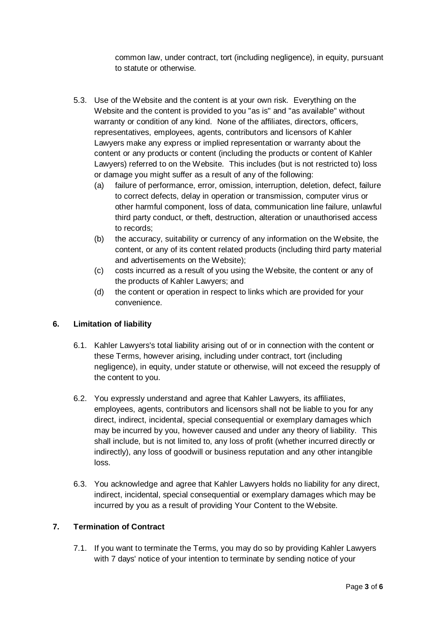common law, under contract, tort (including negligence), in equity, pursuant to statute or otherwise.

- 5.3. Use of the Website and the content is at your own risk. Everything on the Website and the content is provided to you "as is" and "as available" without warranty or condition of any kind. None of the affiliates, directors, officers, representatives, employees, agents, contributors and licensors of Kahler Lawyers make any express or implied representation or warranty about the content or any products or content (including the products or content of Kahler Lawyers) referred to on the Website. This includes (but is not restricted to) loss or damage you might suffer as a result of any of the following:
	- (a) failure of performance, error, omission, interruption, deletion, defect, failure to correct defects, delay in operation or transmission, computer virus or other harmful component, loss of data, communication line failure, unlawful third party conduct, or theft, destruction, alteration or unauthorised access to records;
	- (b) the accuracy, suitability or currency of any information on the Website, the content, or any of its content related products (including third party material and advertisements on the Website);
	- (c) costs incurred as a result of you using the Website, the content or any of the products of Kahler Lawyers; and
	- (d) the content or operation in respect to links which are provided for your convenience.

# **6. Limitation of liability**

- 6.1. Kahler Lawyers's total liability arising out of or in connection with the content or these Terms, however arising, including under contract, tort (including negligence), in equity, under statute or otherwise, will not exceed the resupply of the content to you.
- 6.2. You expressly understand and agree that Kahler Lawyers, its affiliates, employees, agents, contributors and licensors shall not be liable to you for any direct, indirect, incidental, special consequential or exemplary damages which may be incurred by you, however caused and under any theory of liability. This shall include, but is not limited to, any loss of profit (whether incurred directly or indirectly), any loss of goodwill or business reputation and any other intangible loss.
- 6.3. You acknowledge and agree that Kahler Lawyers holds no liability for any direct, indirect, incidental, special consequential or exemplary damages which may be incurred by you as a result of providing Your Content to the Website.

## **7. Termination of Contract**

7.1. If you want to terminate the Terms, you may do so by providing Kahler Lawyers with 7 days' notice of your intention to terminate by sending notice of your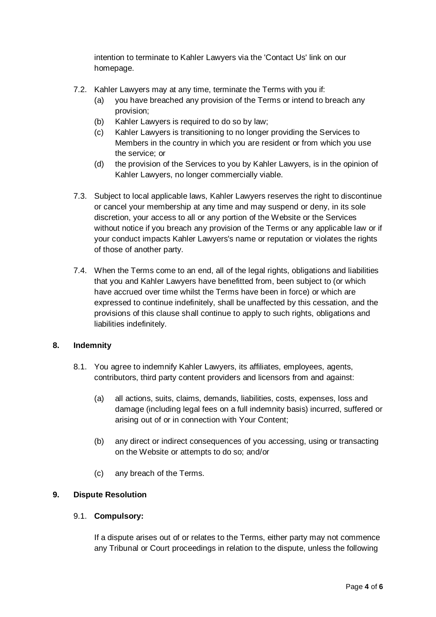intention to terminate to Kahler Lawyers via the 'Contact Us' link on our homepage.

- 7.2. Kahler Lawyers may at any time, terminate the Terms with you if:
	- (a) you have breached any provision of the Terms or intend to breach any provision;
	- (b) Kahler Lawyers is required to do so by law;
	- (c) Kahler Lawyers is transitioning to no longer providing the Services to Members in the country in which you are resident or from which you use the service; or
	- (d) the provision of the Services to you by Kahler Lawyers, is in the opinion of Kahler Lawyers, no longer commercially viable.
- 7.3. Subject to local applicable laws, Kahler Lawyers reserves the right to discontinue or cancel your membership at any time and may suspend or deny, in its sole discretion, your access to all or any portion of the Website or the Services without notice if you breach any provision of the Terms or any applicable law or if your conduct impacts Kahler Lawyers's name or reputation or violates the rights of those of another party.
- 7.4. When the Terms come to an end, all of the legal rights, obligations and liabilities that you and Kahler Lawyers have benefitted from, been subject to (or which have accrued over time whilst the Terms have been in force) or which are expressed to continue indefinitely, shall be unaffected by this cessation, and the provisions of this clause shall continue to apply to such rights, obligations and liabilities indefinitely.

# **8. Indemnity**

- 8.1. You agree to indemnify Kahler Lawyers, its affiliates, employees, agents, contributors, third party content providers and licensors from and against:
	- (a) all actions, suits, claims, demands, liabilities, costs, expenses, loss and damage (including legal fees on a full indemnity basis) incurred, suffered or arising out of or in connection with Your Content;
	- (b) any direct or indirect consequences of you accessing, using or transacting on the Website or attempts to do so; and/or
	- (c) any breach of the Terms.

#### **9. Dispute Resolution**

#### 9.1. **Compulsory:**

If a dispute arises out of or relates to the Terms, either party may not commence any Tribunal or Court proceedings in relation to the dispute, unless the following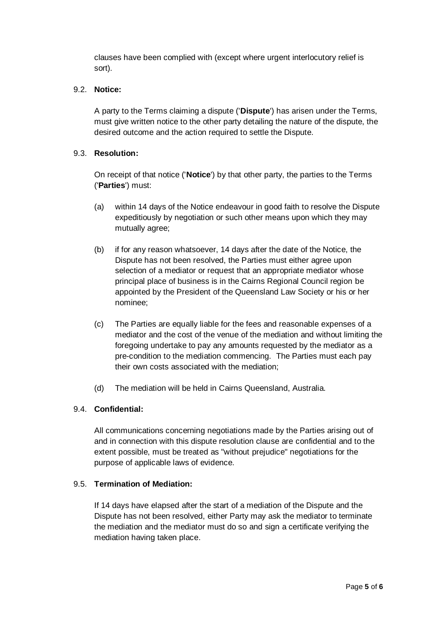clauses have been complied with (except where urgent interlocutory relief is sort).

## 9.2. **Notice:**

A party to the Terms claiming a dispute ('**Dispute**') has arisen under the Terms, must give written notice to the other party detailing the nature of the dispute, the desired outcome and the action required to settle the Dispute.

## 9.3. **Resolution:**

On receipt of that notice ('**Notice**') by that other party, the parties to the Terms ('**Parties**') must:

- (a) within 14 days of the Notice endeavour in good faith to resolve the Dispute expeditiously by negotiation or such other means upon which they may mutually agree;
- (b) if for any reason whatsoever, 14 days after the date of the Notice, the Dispute has not been resolved, the Parties must either agree upon selection of a mediator or request that an appropriate mediator whose principal place of business is in the Cairns Regional Council region be appointed by the President of the Queensland Law Society or his or her nominee;
- (c) The Parties are equally liable for the fees and reasonable expenses of a mediator and the cost of the venue of the mediation and without limiting the foregoing undertake to pay any amounts requested by the mediator as a pre-condition to the mediation commencing. The Parties must each pay their own costs associated with the mediation;
- (d) The mediation will be held in Cairns Queensland, Australia.

# 9.4. **Confidential:**

All communications concerning negotiations made by the Parties arising out of and in connection with this dispute resolution clause are confidential and to the extent possible, must be treated as "without prejudice" negotiations for the purpose of applicable laws of evidence.

#### 9.5. **Termination of Mediation:**

If 14 days have elapsed after the start of a mediation of the Dispute and the Dispute has not been resolved, either Party may ask the mediator to terminate the mediation and the mediator must do so and sign a certificate verifying the mediation having taken place.